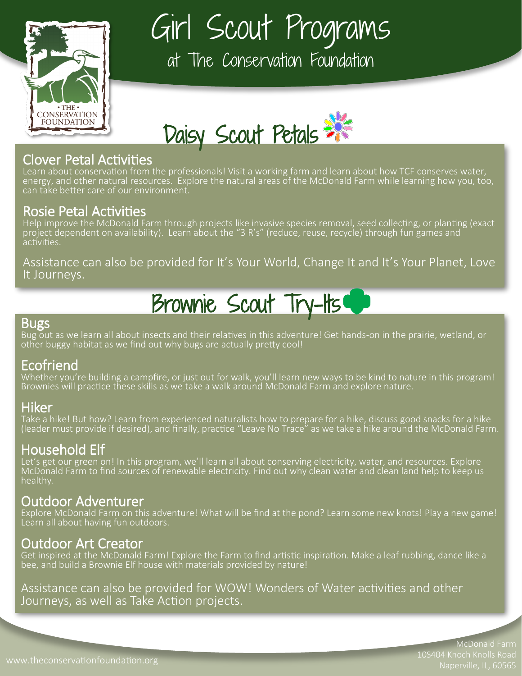

Girl Scout Programs

at The Conservation Foundation



### Clover Petal Activities

Learn about conservation from the professionals! Visit a working farm and learn about how TCF conserves water, energy, and other natural resources. Explore the natural areas of the McDonald Farm while learning how you, too, can take better care of our environment.

### Rosie Petal Activities

Help improve the McDonald Farm through projects like invasive species removal, seed collecting, or planting (exact project dependent on availability). Learn about the "3 R's" (reduce, reuse, recycle) through fun games and activities.

Assistance can also be provided for It's Your World, Change It and It's Your Planet, Love It Journeys.

## Brownie Scout Try-Its

#### **Bugs**

Bug out as we learn all about insects and their relatives in this adventure! Get hands-on in the prairie, wetland, or other buggy habitat as we find out why bugs are actually pretty cool!

### Ecofriend

Whether you're building a campfire, or just out for walk, you'll learn new ways to be kind to nature in this program! Brownies will practice these skills as we take a walk around McDonald Farm and explore nature.

### Hiker

Take a hike! But how? Learn from experienced naturalists how to prepare for a hike, discuss good snacks for a hike (leader must provide if desired), and finally, practice "Leave No Trace" as we take a hike around the McDonald Farm.

### Household Elf

Let's get our green on! In this program, we'll learn all about conserving electricity, water, and resources. Explore McDonald Farm to find sources of renewable electricity. Find out why clean water and clean land help to keep us healthy.

### Outdoor Adventurer

Explore McDonald Farm on this adventure! What will be find at the pond? Learn some new knots! Play a new game! Learn all about having fun outdoors.

### Outdoor Art Creator

Get inspired at the McDonald Farm! Explore the Farm to find artistic inspiration. Make a leaf rubbing, dance like a bee, and build a Brownie Elf house with materials provided by nature!

Assistance can also be provided for WOW! Wonders of Water activities and other Journeys, as well as Take Action projects.